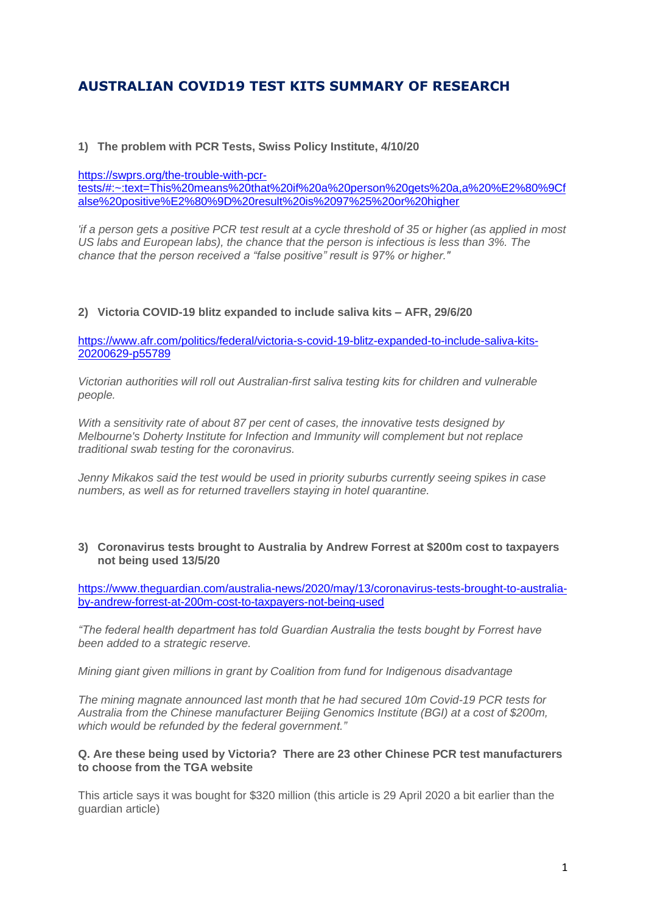# **AUSTRALIAN COVID19 TEST KITS SUMMARY OF RESEARCH**

#### **1) The problem with PCR Tests, Swiss Policy Institute, 4/10/20**

[https://swprs.org/the-trouble-with-pcr-](https://swprs.org/the-trouble-with-pcr-tests/#:~:text=This%20means%20that%20if%20a%20person%20gets%20a,a%20%E2%80%9Cfalse%20positive%E2%80%9D%20result%20is%2097%25%20or%20higher)

[tests/#:~:text=This%20means%20that%20if%20a%20person%20gets%20a,a%20%E2%80%9Cf](https://swprs.org/the-trouble-with-pcr-tests/#:~:text=This%20means%20that%20if%20a%20person%20gets%20a,a%20%E2%80%9Cfalse%20positive%E2%80%9D%20result%20is%2097%25%20or%20higher) [alse%20positive%E2%80%9D%20result%20is%2097%25%20or%20higher](https://swprs.org/the-trouble-with-pcr-tests/#:~:text=This%20means%20that%20if%20a%20person%20gets%20a,a%20%E2%80%9Cfalse%20positive%E2%80%9D%20result%20is%2097%25%20or%20higher)

*'if a person gets a positive PCR test result at a cycle threshold of 35 or higher (as applied in most US labs and European labs), the chance that the person is infectious is less than 3%. The chance that the person received a "false positive" result is 97% or higher."*

#### **2) Victoria COVID-19 blitz expanded to include saliva kits – AFR, 29/6/20**

[https://www.afr.com/politics/federal/victoria-s-covid-19-blitz-expanded-to-include-saliva-kits-](https://www.afr.com/politics/federal/victoria-s-covid-19-blitz-expanded-to-include-saliva-kits-20200629-p55789)[20200629-p55789](https://www.afr.com/politics/federal/victoria-s-covid-19-blitz-expanded-to-include-saliva-kits-20200629-p55789)

*Victorian authorities will roll out Australian-first saliva testing kits for children and vulnerable people.*

*With a sensitivity rate of about 87 per cent of cases, the innovative tests designed by Melbourne's Doherty Institute for Infection and Immunity will complement but not replace traditional swab testing for the coronavirus.*

*Jenny Mikakos said the test would be used in priority suburbs currently seeing spikes in case numbers, as well as for returned travellers staying in hotel quarantine.*

#### **3) Coronavirus tests brought to Australia by Andrew Forrest at \$200m cost to taxpayers not being used 13/5/20**

[https://www.theguardian.com/australia-news/2020/may/13/coronavirus-tests-brought-to-australia](https://www.theguardian.com/australia-news/2020/may/13/coronavirus-tests-brought-to-australia-by-andrew-forrest-at-200m-cost-to-taxpayers-not-being-used)[by-andrew-forrest-at-200m-cost-to-taxpayers-not-being-used](https://www.theguardian.com/australia-news/2020/may/13/coronavirus-tests-brought-to-australia-by-andrew-forrest-at-200m-cost-to-taxpayers-not-being-used)

*"The federal health department has told Guardian Australia the tests bought by Forrest have been added to a strategic reserve.*

*Mining giant given millions in grant by Coalition from fund for Indigenous disadvantage*

*The mining magnate announced last month that he had secured 10m Covid-19 PCR tests for Australia from the Chinese manufacturer Beijing Genomics Institute (BGI) at a cost of \$200m, which would be refunded by the federal government."*

#### **Q. Are these being used by Victoria? There are 23 other Chinese PCR test manufacturers to choose from the TGA website**

This article says it was bought for \$320 million (this article is 29 April 2020 a bit earlier than the guardian article)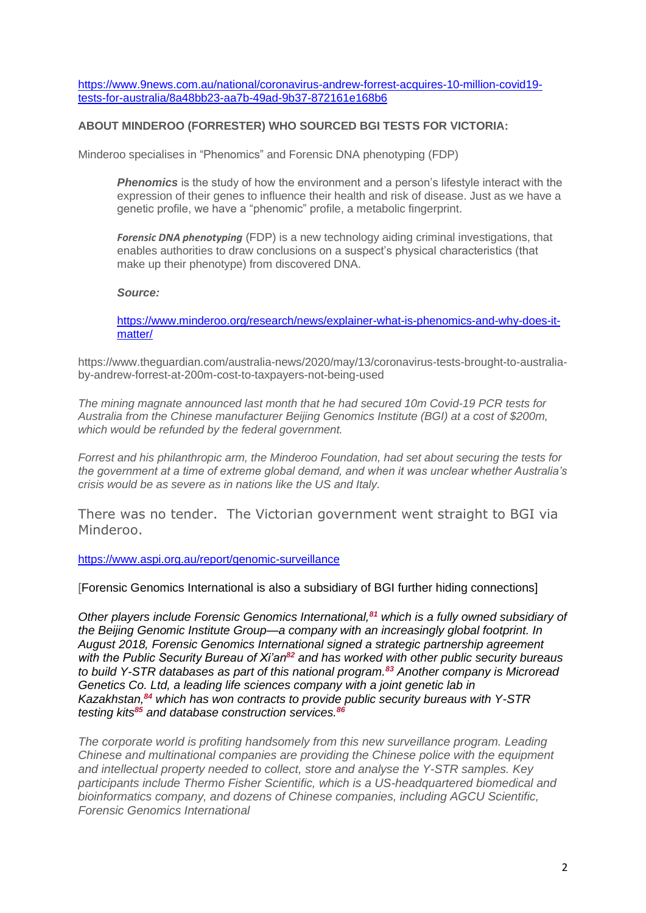[https://www.9news.com.au/national/coronavirus-andrew-forrest-acquires-10-million-covid19](https://www.9news.com.au/national/coronavirus-andrew-forrest-acquires-10-million-covid19-tests-for-australia/8a48bb23-aa7b-49ad-9b37-872161e168b6) [tests-for-australia/8a48bb23-aa7b-49ad-9b37-872161e168b6](https://www.9news.com.au/national/coronavirus-andrew-forrest-acquires-10-million-covid19-tests-for-australia/8a48bb23-aa7b-49ad-9b37-872161e168b6)

### **ABOUT MINDEROO (FORRESTER) WHO SOURCED BGI TESTS FOR VICTORIA:**

Minderoo specialises in "Phenomics" and Forensic DNA phenotyping (FDP)

**Phenomics** is the study of how the environment and a person's lifestyle interact with the expression of their genes to influence their health and risk of disease. Just as we have a genetic profile, we have a "phenomic" profile, a metabolic fingerprint.

*[Forensic DNA phenotyping](https://www.tandfonline.com/doi/full/10.1080/14636778.2018.1549984)* (FDP) is a new technology aiding criminal investigations, that enables authorities to draw conclusions on a suspect's physical characteristics (that make up their phenotype) from discovered DNA.

#### *Source:*

[https://www.minderoo.org/research/news/explainer-what-is-phenomics-and-why-does-it](https://www.minderoo.org/research/news/explainer-what-is-phenomics-and-why-does-it-matter/)[matter/](https://www.minderoo.org/research/news/explainer-what-is-phenomics-and-why-does-it-matter/)

https://www.theguardian.com/australia-news/2020/may/13/coronavirus-tests-brought-to-australiaby-andrew-forrest-at-200m-cost-to-taxpayers-not-being-used

*The mining magnate announced last month that he had secured 10m Covid-19 PCR tests for Australia from the Chinese manufacturer Beijing Genomics Institute (BGI) at a cost of \$200m, which would be refunded by the federal government.*

*Forrest and his philanthropic arm, the Minderoo Foundation, had set about securing the tests for the government at a time of extreme global demand, and when it was unclear whether Australia's crisis would be as severe as in nations like the US and Italy.*

There was no tender. The Victorian government went straight to BGI via Minderoo.

#### <https://www.aspi.org.au/report/genomic-surveillance>

[Forensic Genomics International is also a subsidiary of BGI further hiding connections]

*Other players include Forensic Genomics International,<sup>81</sup> which is a fully owned subsidiary of the Beijing Genomic Institute Group—a company with an increasingly global footprint. In August 2018, Forensic Genomics International signed a strategic partnership agreement with the Public Security Bureau of Xi'an<sup>82</sup> and has worked with other public security bureaus to build Y-STR databases as part of this national program.<sup>83</sup> Another company is Microread Genetics Co. Ltd, a leading life sciences company with a joint genetic lab in Kazakhstan,<sup>84</sup> which has won contracts to provide public security bureaus with Y-STR testing kits<sup>85</sup> and database construction services.<sup>86</sup>*

*The corporate world is profiting handsomely from this new surveillance program. Leading Chinese and multinational companies are providing the Chinese police with the equipment and intellectual property needed to collect, store and analyse the Y-STR samples. Key participants include Thermo Fisher Scientific, which is a US-headquartered biomedical and bioinformatics company, and dozens of Chinese companies, including AGCU Scientific, Forensic Genomics International*